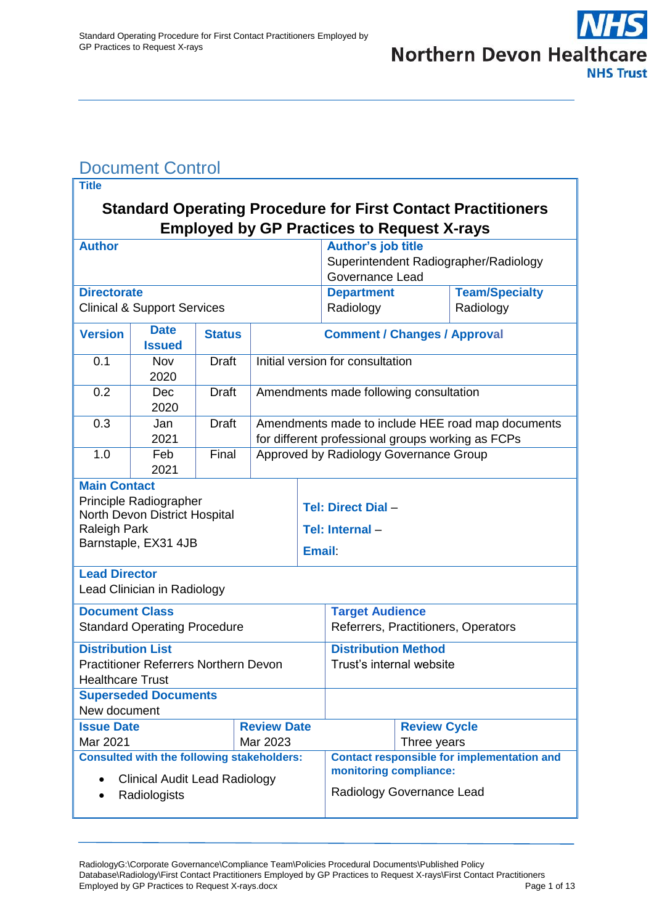# <span id="page-0-0"></span>Document Control

| <b>Title</b>                                                                                                             |                                     |               |                    |                                                                                                        |                                       |                                                   |                       |
|--------------------------------------------------------------------------------------------------------------------------|-------------------------------------|---------------|--------------------|--------------------------------------------------------------------------------------------------------|---------------------------------------|---------------------------------------------------|-----------------------|
| <b>Standard Operating Procedure for First Contact Practitioners</b><br><b>Employed by GP Practices to Request X-rays</b> |                                     |               |                    |                                                                                                        |                                       |                                                   |                       |
| <b>Author</b>                                                                                                            |                                     |               |                    |                                                                                                        | <b>Author's job title</b>             |                                                   |                       |
|                                                                                                                          |                                     |               |                    |                                                                                                        | Superintendent Radiographer/Radiology |                                                   |                       |
|                                                                                                                          |                                     |               |                    | Governance Lead                                                                                        |                                       |                                                   |                       |
| <b>Directorate</b>                                                                                                       |                                     |               |                    |                                                                                                        | <b>Department</b>                     |                                                   | <b>Team/Specialty</b> |
| <b>Clinical &amp; Support Services</b>                                                                                   |                                     |               |                    |                                                                                                        | Radiology                             |                                                   | Radiology             |
| <b>Version</b>                                                                                                           | <b>Date</b><br><b>Issued</b>        | <b>Status</b> |                    | <b>Comment / Changes / Approval</b>                                                                    |                                       |                                                   |                       |
| 0.1                                                                                                                      | Nov                                 | <b>Draft</b>  |                    | Initial version for consultation                                                                       |                                       |                                                   |                       |
|                                                                                                                          | 2020                                |               |                    |                                                                                                        |                                       |                                                   |                       |
| 0.2                                                                                                                      | Dec<br>2020                         | <b>Draft</b>  |                    | Amendments made following consultation                                                                 |                                       |                                                   |                       |
| 0.3                                                                                                                      | Jan<br>2021                         | <b>Draft</b>  |                    | Amendments made to include HEE road map documents<br>for different professional groups working as FCPs |                                       |                                                   |                       |
| 1.0                                                                                                                      | Feb<br>2021                         | Final         |                    | Approved by Radiology Governance Group                                                                 |                                       |                                                   |                       |
| <b>Main Contact</b>                                                                                                      |                                     |               |                    |                                                                                                        |                                       |                                                   |                       |
|                                                                                                                          | Principle Radiographer              |               |                    |                                                                                                        |                                       |                                                   |                       |
|                                                                                                                          | North Devon District Hospital       |               |                    |                                                                                                        | <b>Tel: Direct Dial -</b>             |                                                   |                       |
| Raleigh Park                                                                                                             |                                     |               |                    |                                                                                                        | Tel: Internal-                        |                                                   |                       |
| Barnstaple, EX31 4JB                                                                                                     |                                     |               |                    | <b>Email:</b>                                                                                          |                                       |                                                   |                       |
| <b>Lead Director</b>                                                                                                     |                                     |               |                    |                                                                                                        |                                       |                                                   |                       |
| Lead Clinician in Radiology                                                                                              |                                     |               |                    |                                                                                                        |                                       |                                                   |                       |
| <b>Document Class</b>                                                                                                    |                                     |               |                    | <b>Target Audience</b>                                                                                 |                                       |                                                   |                       |
|                                                                                                                          | <b>Standard Operating Procedure</b> |               |                    |                                                                                                        | Referrers, Practitioners, Operators   |                                                   |                       |
| <b>Distribution List</b>                                                                                                 |                                     |               |                    |                                                                                                        | <b>Distribution Method</b>            |                                                   |                       |
| <b>Practitioner Referrers Northern Devon</b><br><b>Healthcare Trust</b>                                                  |                                     |               |                    | Trust's internal website                                                                               |                                       |                                                   |                       |
| <b>Superseded Documents</b>                                                                                              |                                     |               |                    |                                                                                                        |                                       |                                                   |                       |
| New document                                                                                                             |                                     |               |                    |                                                                                                        |                                       |                                                   |                       |
| <b>Issue Date</b>                                                                                                        |                                     |               | <b>Review Date</b> |                                                                                                        |                                       | <b>Review Cycle</b>                               |                       |
| Mar 2021<br>Mar 2023                                                                                                     |                                     |               |                    |                                                                                                        | Three years                           |                                                   |                       |
| <b>Consulted with the following stakeholders:</b>                                                                        |                                     |               |                    |                                                                                                        |                                       | <b>Contact responsible for implementation and</b> |                       |
| <b>Clinical Audit Lead Radiology</b>                                                                                     |                                     |               |                    | monitoring compliance:                                                                                 |                                       |                                                   |                       |
| Radiologists                                                                                                             |                                     |               |                    | Radiology Governance Lead                                                                              |                                       |                                                   |                       |
|                                                                                                                          |                                     |               |                    |                                                                                                        |                                       |                                                   |                       |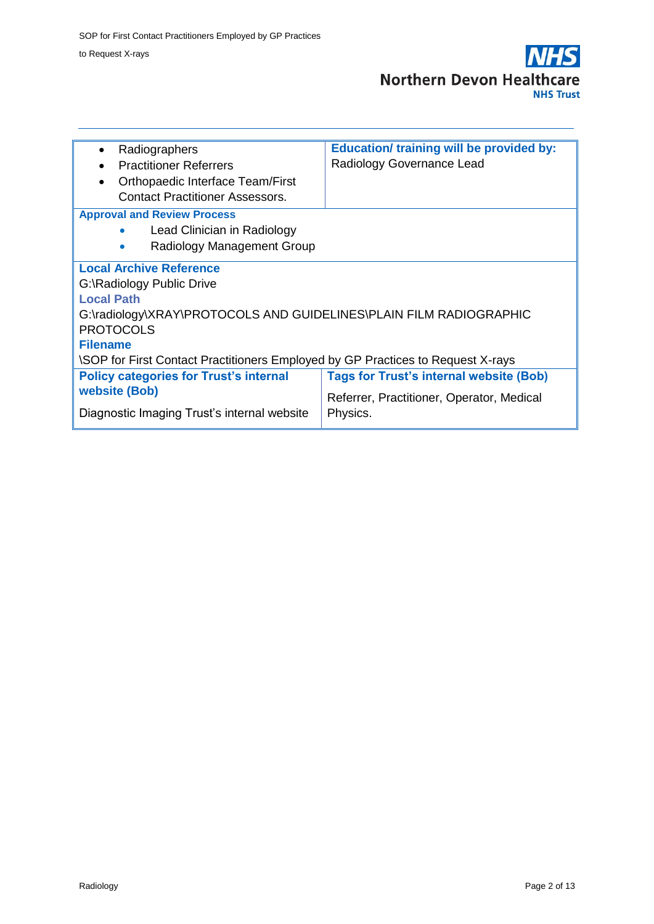

| Radiographers                                                                          | <b>Education/ training will be provided by:</b> |  |  |  |
|----------------------------------------------------------------------------------------|-------------------------------------------------|--|--|--|
| <b>Practitioner Referrers</b>                                                          | Radiology Governance Lead                       |  |  |  |
| Orthopaedic Interface Team/First                                                       |                                                 |  |  |  |
| <b>Contact Practitioner Assessors.</b>                                                 |                                                 |  |  |  |
| <b>Approval and Review Process</b>                                                     |                                                 |  |  |  |
| Lead Clinician in Radiology                                                            |                                                 |  |  |  |
| Radiology Management Group                                                             |                                                 |  |  |  |
| <b>Local Archive Reference</b>                                                         |                                                 |  |  |  |
| G:\Radiology Public Drive                                                              |                                                 |  |  |  |
| <b>Local Path</b>                                                                      |                                                 |  |  |  |
| G:\radiology\XRAY\PROTOCOLS AND GUIDELINES\PLAIN FILM RADIOGRAPHIC                     |                                                 |  |  |  |
| <b>PROTOCOLS</b>                                                                       |                                                 |  |  |  |
| <b>Filename</b>                                                                        |                                                 |  |  |  |
| <b>\SOP</b> for First Contact Practitioners Employed by GP Practices to Request X-rays |                                                 |  |  |  |
| <b>Policy categories for Trust's internal</b>                                          | <b>Tags for Trust's internal website (Bob)</b>  |  |  |  |
| <b>website (Bob)</b>                                                                   | Referrer, Practitioner, Operator, Medical       |  |  |  |
| Diagnostic Imaging Trust's internal website                                            | Physics.                                        |  |  |  |
|                                                                                        |                                                 |  |  |  |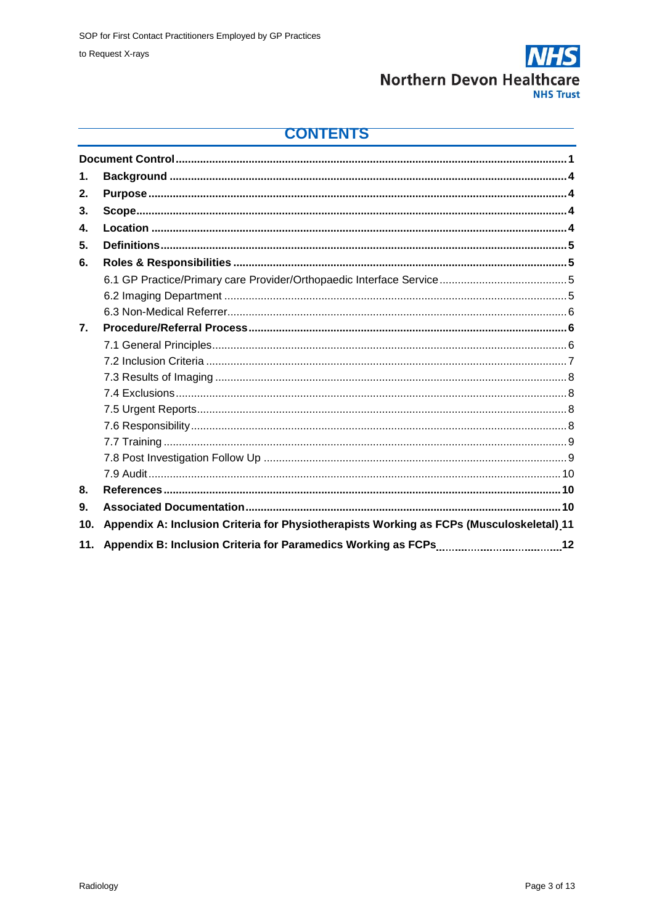

### **CONTENTS**

| 1.  |                                                                                          |    |
|-----|------------------------------------------------------------------------------------------|----|
| 2.  |                                                                                          |    |
| 3.  |                                                                                          |    |
| 4.  |                                                                                          |    |
| 5.  |                                                                                          |    |
| 6.  |                                                                                          |    |
|     |                                                                                          |    |
|     |                                                                                          |    |
|     |                                                                                          |    |
| 7.  |                                                                                          |    |
|     |                                                                                          |    |
|     |                                                                                          |    |
|     |                                                                                          |    |
|     |                                                                                          |    |
|     |                                                                                          |    |
|     |                                                                                          |    |
|     |                                                                                          |    |
|     |                                                                                          |    |
|     |                                                                                          |    |
| 8.  |                                                                                          |    |
| 9.  |                                                                                          |    |
| 10. | Appendix A: Inclusion Criteria for Physiotherapists Working as FCPs (Musculoskeletal) 11 |    |
| 11. | Appendix B: Inclusion Criteria for Paramedics Working as FCPs                            | 12 |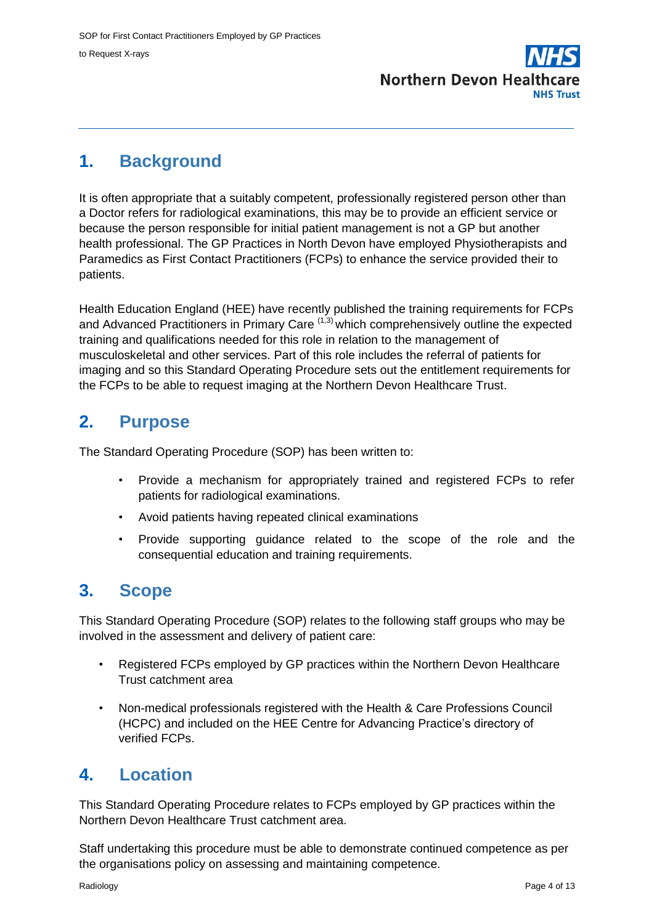

## <span id="page-3-0"></span>**1. Background**

It is often appropriate that a suitably competent, professionally registered person other than a Doctor refers for radiological examinations, this may be to provide an efficient service or because the person responsible for initial patient management is not a GP but another health professional. The GP Practices in North Devon have employed Physiotherapists and Paramedics as First Contact Practitioners (FCPs) to enhance the service provided their to patients.

Health Education England (HEE) have recently published the training requirements for FCPs and Advanced Practitioners in Primary Care  $(1,3)$  which comprehensively outline the expected training and qualifications needed for this role in relation to the management of musculoskeletal and other services. Part of this role includes the referral of patients for imaging and so this Standard Operating Procedure sets out the entitlement requirements for the FCPs to be able to request imaging at the Northern Devon Healthcare Trust.

## **2. Purpose**

The Standard Operating Procedure (SOP) has been written to:

- Provide a mechanism for appropriately trained and registered FCPs to refer patients for radiological examinations.
- Avoid patients having repeated clinical examinations
- Provide supporting guidance related to the scope of the role and the consequential education and training requirements.

### **3. Scope**

This Standard Operating Procedure (SOP) relates to the following staff groups who may be involved in the assessment and delivery of patient care:

- Registered FCPs employed by GP practices within the Northern Devon Healthcare Trust catchment area
- Non-medical professionals registered with the Health & Care Professions Council (HCPC) and included on the HEE Centre for Advancing Practice's directory of verified FCPs.

# <span id="page-3-1"></span>**4. Location**

This Standard Operating Procedure relates to FCPs employed by GP practices within the Northern Devon Healthcare Trust catchment area.

Staff undertaking this procedure must be able to demonstrate continued competence as per the organisations policy on assessing and maintaining competence.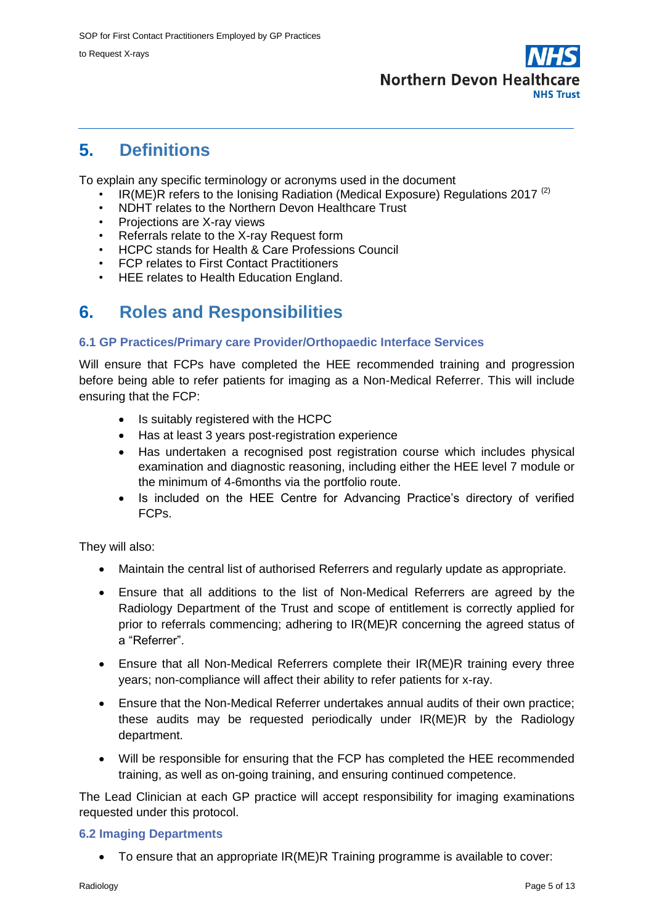

### **5. Definitions**

To explain any specific terminology or acronyms used in the document

- $IR(ME)R$  refers to the Ionising Radiation (Medical Exposure) Regulations 2017<sup>(2)</sup>
- NDHT relates to the Northern Devon Healthcare Trust
- Projections are X-ray views
- Referrals relate to the X-ray Request form
- HCPC stands for Health & Care Professions Council
- FCP relates to First Contact Practitioners
- HEE relates to Health Education England.

## **6. Roles and Responsibilities**

#### **6.1 GP Practices/Primary care Provider/Orthopaedic Interface Services**

Will ensure that FCPs have completed the HEE recommended training and progression before being able to refer patients for imaging as a Non-Medical Referrer. This will include ensuring that the FCP:

- Is suitably registered with the HCPC
- Has at least 3 years post-registration experience
- Has undertaken a recognised post registration course which includes physical examination and diagnostic reasoning, including either the HEE level 7 module or the minimum of 4-6months via the portfolio route.
- Is included on the HEE Centre for Advancing Practice's directory of verified FCPs.

They will also:

- Maintain the central list of authorised Referrers and regularly update as appropriate.
- Ensure that all additions to the list of Non-Medical Referrers are agreed by the Radiology Department of the Trust and scope of entitlement is correctly applied for prior to referrals commencing; adhering to IR(ME)R concerning the agreed status of a "Referrer".
- Ensure that all Non-Medical Referrers complete their IR(ME)R training every three years; non-compliance will affect their ability to refer patients for x-ray.
- Ensure that the Non-Medical Referrer undertakes annual audits of their own practice; these audits may be requested periodically under IR(ME)R by the Radiology department.
- Will be responsible for ensuring that the FCP has completed the HEE recommended training, as well as on-going training, and ensuring continued competence.

The Lead Clinician at each GP practice will accept responsibility for imaging examinations requested under this protocol.

#### **6.2 Imaging Departments**

To ensure that an appropriate IR(ME)R Training programme is available to cover: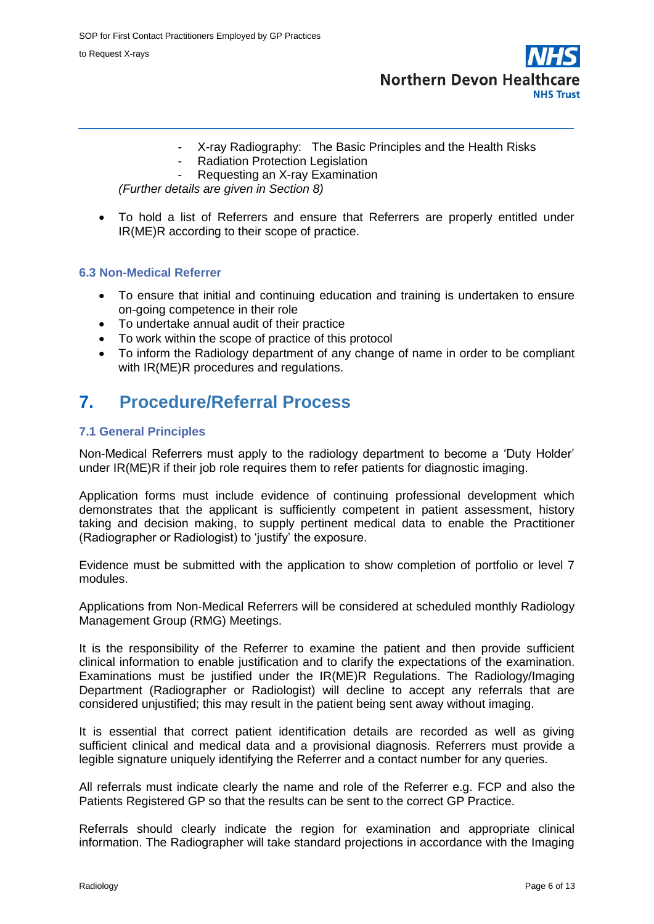**Northern Devon Healthcare NHS Trust** 

- X-ray Radiography: The Basic Principles and the Health Risks
- Radiation Protection Legislation
- Requesting an X-ray Examination

*(Further details are given in Section 8)*

 To hold a list of Referrers and ensure that Referrers are properly entitled under IR(ME)R according to their scope of practice.

#### **6.3 Non-Medical Referrer**

- To ensure that initial and continuing education and training is undertaken to ensure on-going competence in their role
- To undertake annual audit of their practice
- To work within the scope of practice of this protocol
- To inform the Radiology department of any change of name in order to be compliant with IR(ME)R procedures and regulations.

### **7. Procedure/Referral Process**

#### **7.1 General Principles**

Non-Medical Referrers must apply to the radiology department to become a 'Duty Holder' under IR(ME)R if their job role requires them to refer patients for diagnostic imaging.

Application forms must include evidence of continuing professional development which demonstrates that the applicant is sufficiently competent in patient assessment, history taking and decision making, to supply pertinent medical data to enable the Practitioner (Radiographer or Radiologist) to 'justify' the exposure.

Evidence must be submitted with the application to show completion of portfolio or level 7 modules.

Applications from Non-Medical Referrers will be considered at scheduled monthly Radiology Management Group (RMG) Meetings.

It is the responsibility of the Referrer to examine the patient and then provide sufficient clinical information to enable justification and to clarify the expectations of the examination. Examinations must be justified under the IR(ME)R Regulations. The Radiology/Imaging Department (Radiographer or Radiologist) will decline to accept any referrals that are considered unjustified; this may result in the patient being sent away without imaging.

It is essential that correct patient identification details are recorded as well as giving sufficient clinical and medical data and a provisional diagnosis. Referrers must provide a legible signature uniquely identifying the Referrer and a contact number for any queries.

All referrals must indicate clearly the name and role of the Referrer e.g. FCP and also the Patients Registered GP so that the results can be sent to the correct GP Practice.

Referrals should clearly indicate the region for examination and appropriate clinical information. The Radiographer will take standard projections in accordance with the Imaging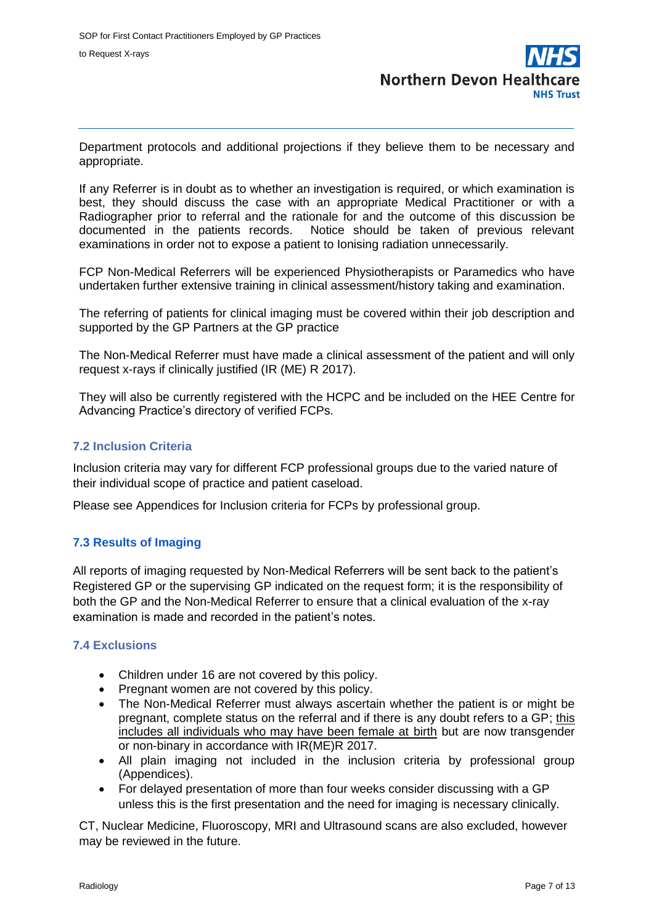

Department protocols and additional projections if they believe them to be necessary and appropriate.

If any Referrer is in doubt as to whether an investigation is required, or which examination is best, they should discuss the case with an appropriate Medical Practitioner or with a Radiographer prior to referral and the rationale for and the outcome of this discussion be documented in the patients records. Notice should be taken of previous relevant examinations in order not to expose a patient to Ionising radiation unnecessarily.

FCP Non-Medical Referrers will be experienced Physiotherapists or Paramedics who have undertaken further extensive training in clinical assessment/history taking and examination.

The referring of patients for clinical imaging must be covered within their job description and supported by the GP Partners at the GP practice

The Non-Medical Referrer must have made a clinical assessment of the patient and will only request x-rays if clinically justified (IR (ME) R 2017).

They will also be currently registered with the HCPC and be included on the HEE Centre for Advancing Practice's directory of verified FCPs.

#### **7.2 Inclusion Criteria**

Inclusion criteria may vary for different FCP professional groups due to the varied nature of their individual scope of practice and patient caseload.

Please see Appendices for Inclusion criteria for FCPs by professional group.

#### **7.3 Results of Imaging**

All reports of imaging requested by Non-Medical Referrers will be sent back to the patient's Registered GP or the supervising GP indicated on the request form; it is the responsibility of both the GP and the Non-Medical Referrer to ensure that a clinical evaluation of the x-ray examination is made and recorded in the patient's notes.

#### **7.4 Exclusions**

- Children under 16 are not covered by this policy.
- Pregnant women are not covered by this policy.
- The Non-Medical Referrer must always ascertain whether the patient is or might be pregnant, complete status on the referral and if there is any doubt refers to a GP; this includes all individuals who may have been female at birth but are now transgender or non-binary in accordance with IR(ME)R 2017.
- All plain imaging not included in the inclusion criteria by professional group (Appendices).
- For delayed presentation of more than four weeks consider discussing with a GP unless this is the first presentation and the need for imaging is necessary clinically.

CT, Nuclear Medicine, Fluoroscopy, MRI and Ultrasound scans are also excluded, however may be reviewed in the future.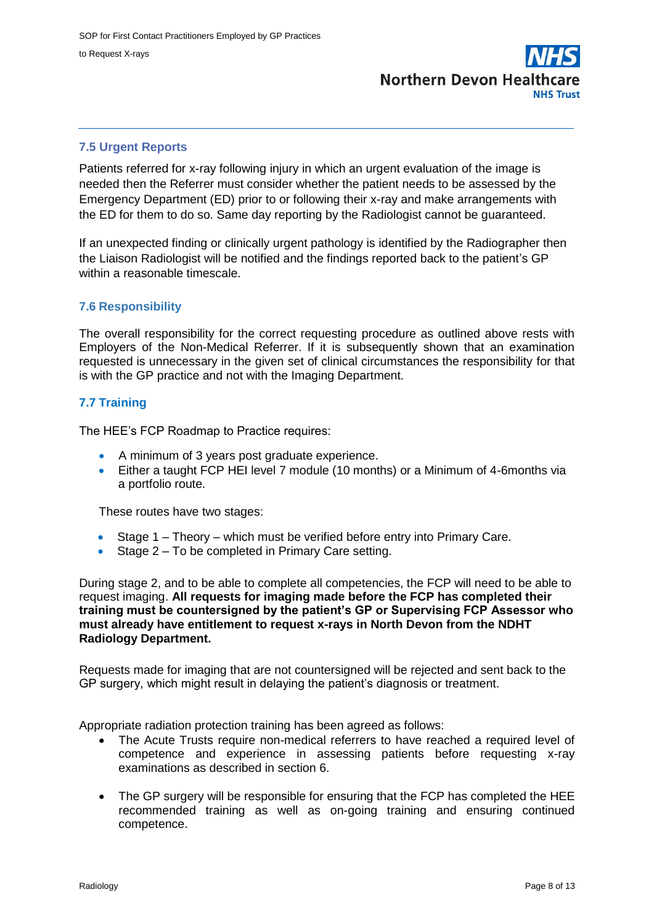

#### **7.5 Urgent Reports**

Patients referred for x-ray following injury in which an urgent evaluation of the image is needed then the Referrer must consider whether the patient needs to be assessed by the Emergency Department (ED) prior to or following their x-ray and make arrangements with the ED for them to do so. Same day reporting by the Radiologist cannot be guaranteed.

If an unexpected finding or clinically urgent pathology is identified by the Radiographer then the Liaison Radiologist will be notified and the findings reported back to the patient's GP within a reasonable timescale.

#### **7.6 Responsibility**

The overall responsibility for the correct requesting procedure as outlined above rests with Employers of the Non-Medical Referrer. If it is subsequently shown that an examination requested is unnecessary in the given set of clinical circumstances the responsibility for that is with the GP practice and not with the Imaging Department.

#### **7.7 Training**

The HEE's FCP Roadmap to Practice requires:

- A minimum of 3 years post graduate experience.
- Either a taught FCP HEI level 7 module (10 months) or a Minimum of 4-6months via a portfolio route.

These routes have two stages:

- Stage 1 Theory which must be verified before entry into Primary Care.
- Stage 2 To be completed in Primary Care setting.

During stage 2, and to be able to complete all competencies, the FCP will need to be able to request imaging. **All requests for imaging made before the FCP has completed their training must be countersigned by the patient's GP or Supervising FCP Assessor who must already have entitlement to request x-rays in North Devon from the NDHT Radiology Department.**

Requests made for imaging that are not countersigned will be rejected and sent back to the GP surgery, which might result in delaying the patient's diagnosis or treatment.

Appropriate radiation protection training has been agreed as follows:

- The Acute Trusts require non-medical referrers to have reached a required level of competence and experience in assessing patients before requesting x-ray examinations as described in section 6.
- The GP surgery will be responsible for ensuring that the FCP has completed the HEE recommended training as well as on-going training and ensuring continued competence.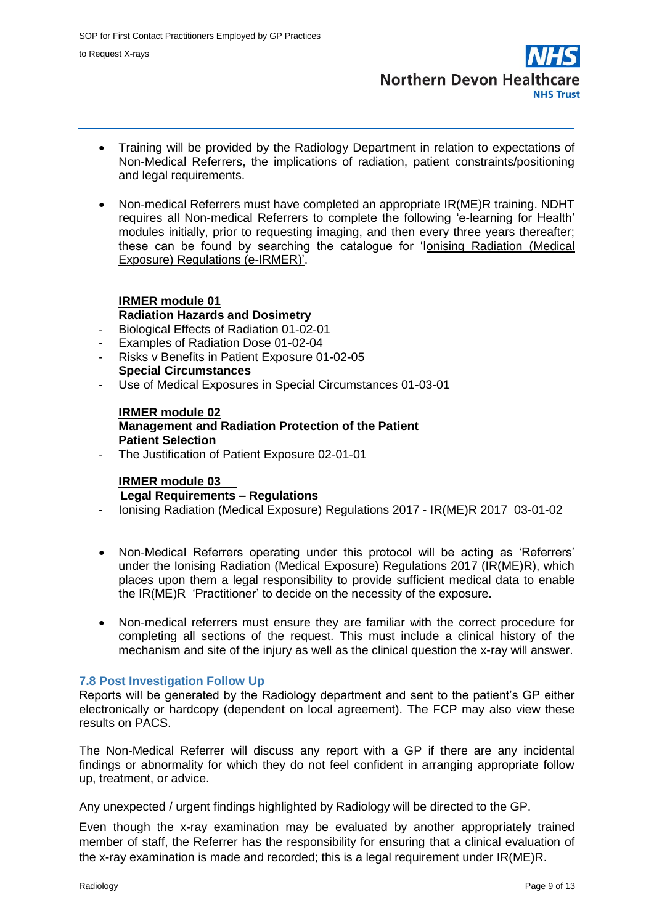**Northern Devon Healthcare NHS Trust** 

- Training will be provided by the Radiology Department in relation to expectations of Non-Medical Referrers, the implications of radiation, patient constraints/positioning and legal requirements.
- Non-medical Referrers must have completed an appropriate IR(ME)R training. NDHT requires all Non-medical Referrers to complete the following 'e-learning for Health' modules initially, prior to requesting imaging, and then every three years thereafter; these can be found by searching the catalogue for 'Ionising Radiation (Medical Exposure) Regulations (e-IRMER)'.

#### **IRMER module 01 Radiation Hazards and Dosimetry**

- Biological Effects of Radiation 01-02-01
- Examples of Radiation Dose 01-02-04
- Risks v Benefits in Patient Exposure 01-02-05 **Special Circumstances**
- Use of Medical Exposures in Special Circumstances 01-03-01

#### **IRMER module 02 Management and Radiation Protection of the Patient Patient Selection**

The Justification of Patient Exposure 02-01-01

#### **IRMER module 03 Legal Requirements – Regulations**

- Ionising Radiation (Medical Exposure) Regulations 2017 IR(ME)R 2017 03-01-02
- Non-Medical Referrers operating under this protocol will be acting as 'Referrers' under the Ionising Radiation (Medical Exposure) Regulations 2017 (IR(ME)R), which places upon them a legal responsibility to provide sufficient medical data to enable the IR(ME)R 'Practitioner' to decide on the necessity of the exposure.
- Non-medical referrers must ensure they are familiar with the correct procedure for completing all sections of the request. This must include a clinical history of the mechanism and site of the injury as well as the clinical question the x-ray will answer.

#### **7.8 Post Investigation Follow Up**

Reports will be generated by the Radiology department and sent to the patient's GP either electronically or hardcopy (dependent on local agreement). The FCP may also view these results on PACS.

The Non-Medical Referrer will discuss any report with a GP if there are any incidental findings or abnormality for which they do not feel confident in arranging appropriate follow up, treatment, or advice.

Any unexpected / urgent findings highlighted by Radiology will be directed to the GP.

Even though the x-ray examination may be evaluated by another appropriately trained member of staff, the Referrer has the responsibility for ensuring that a clinical evaluation of the x-ray examination is made and recorded; this is a legal requirement under IR(ME)R.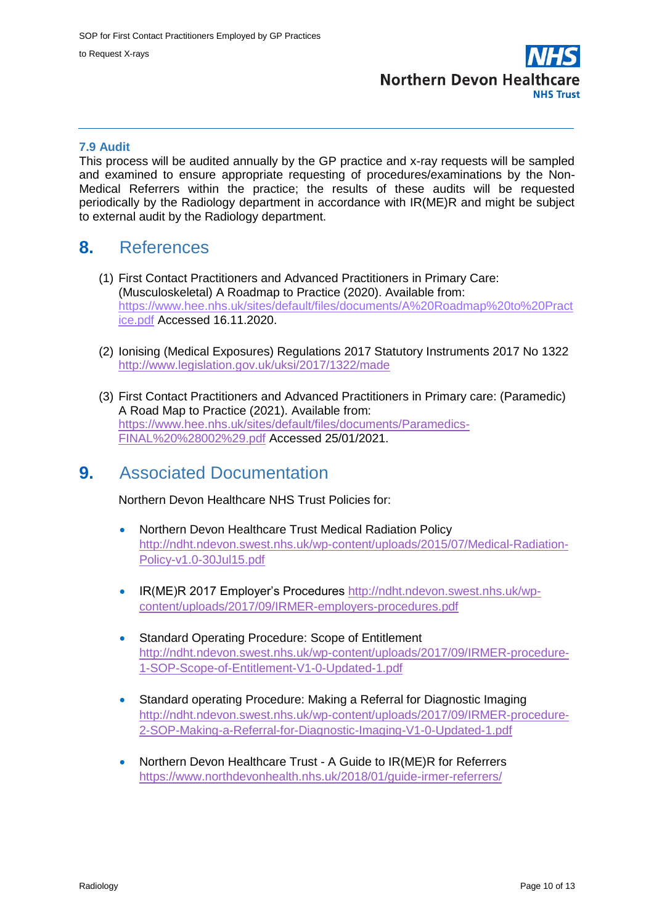

#### **7.9 Audit**

This process will be audited annually by the GP practice and x-ray requests will be sampled and examined to ensure appropriate requesting of procedures/examinations by the Non-Medical Referrers within the practice; the results of these audits will be requested periodically by the Radiology department in accordance with IR(ME)R and might be subject to external audit by the Radiology department.

### **8.** References

- (1) First Contact Practitioners and Advanced Practitioners in Primary Care: (Musculoskeletal) A Roadmap to Practice (2020). Available from: [https://www.hee.nhs.uk/sites/default/files/documents/A%20Roadmap%20to%20Pract](https://www.hee.nhs.uk/sites/default/files/documents/A%20Roadmap%20to%20Practice.pdf) [ice.pdf](https://www.hee.nhs.uk/sites/default/files/documents/A%20Roadmap%20to%20Practice.pdf) Accessed 16.11.2020.
- (2) Ionising (Medical Exposures) Regulations 2017 Statutory Instruments 2017 No 1322 <http://www.legislation.gov.uk/uksi/2017/1322/made>
- (3) First Contact Practitioners and Advanced Practitioners in Primary care: (Paramedic) A Road Map to Practice (2021). Available from: [https://www.hee.nhs.uk/sites/default/files/documents/Paramedics-](https://www.hee.nhs.uk/sites/default/files/documents/Paramedics-FINAL%20%28002%29.pdf)[FINAL%20%28002%29.pdf](https://www.hee.nhs.uk/sites/default/files/documents/Paramedics-FINAL%20%28002%29.pdf) Accessed 25/01/2021.

### **9.** Associated Documentation

Northern Devon Healthcare NHS Trust Policies for:

- Northern Devon Healthcare Trust Medical Radiation Policy [http://ndht.ndevon.swest.nhs.uk/wp-content/uploads/2015/07/Medical-Radiation-](http://ndht.ndevon.swest.nhs.uk/wp-content/uploads/2015/07/Medical-Radiation-%20Policy-v1.0-30Jul15.pdf)[Policy-v1.0-30Jul15.pdf](http://ndht.ndevon.swest.nhs.uk/wp-content/uploads/2015/07/Medical-Radiation-%20Policy-v1.0-30Jul15.pdf)
- IR(ME)R 2017 Employer's Procedures [http://ndht.ndevon.swest.nhs.uk/wp](http://ndht.ndevon.swest.nhs.uk/wp-content/uploads/2017/09/IRMER-employers-procedures.pdf)[content/uploads/2017/09/IRMER-employers-procedures.pdf](http://ndht.ndevon.swest.nhs.uk/wp-content/uploads/2017/09/IRMER-employers-procedures.pdf)
- Standard Operating Procedure: Scope of Entitlement [http://ndht.ndevon.swest.nhs.uk/wp-content/uploads/2017/09/IRMER-procedure-](http://ndht.ndevon.swest.nhs.uk/wp-content/uploads/2017/09/IRMER-procedure-1-SOP-Scope-of-Entitlement-V1-0-Updated-1.pdf)[1-SOP-Scope-of-Entitlement-V1-0-Updated-1.pdf](http://ndht.ndevon.swest.nhs.uk/wp-content/uploads/2017/09/IRMER-procedure-1-SOP-Scope-of-Entitlement-V1-0-Updated-1.pdf)
- Standard operating Procedure: Making a Referral for Diagnostic Imaging [http://ndht.ndevon.swest.nhs.uk/wp-content/uploads/2017/09/IRMER-procedure-](http://ndht.ndevon.swest.nhs.uk/wp-content/uploads/2017/09/IRMER-procedure-2-SOP-Making-a-Referral-for-Diagnostic-Imaging-V1-0-Updated-1.pdf)[2-SOP-Making-a-Referral-for-Diagnostic-Imaging-V1-0-Updated-1.pdf](http://ndht.ndevon.swest.nhs.uk/wp-content/uploads/2017/09/IRMER-procedure-2-SOP-Making-a-Referral-for-Diagnostic-Imaging-V1-0-Updated-1.pdf)
- Northern Devon Healthcare Trust A Guide to IR(ME)R for Referrers <https://www.northdevonhealth.nhs.uk/2018/01/guide-irmer-referrers/>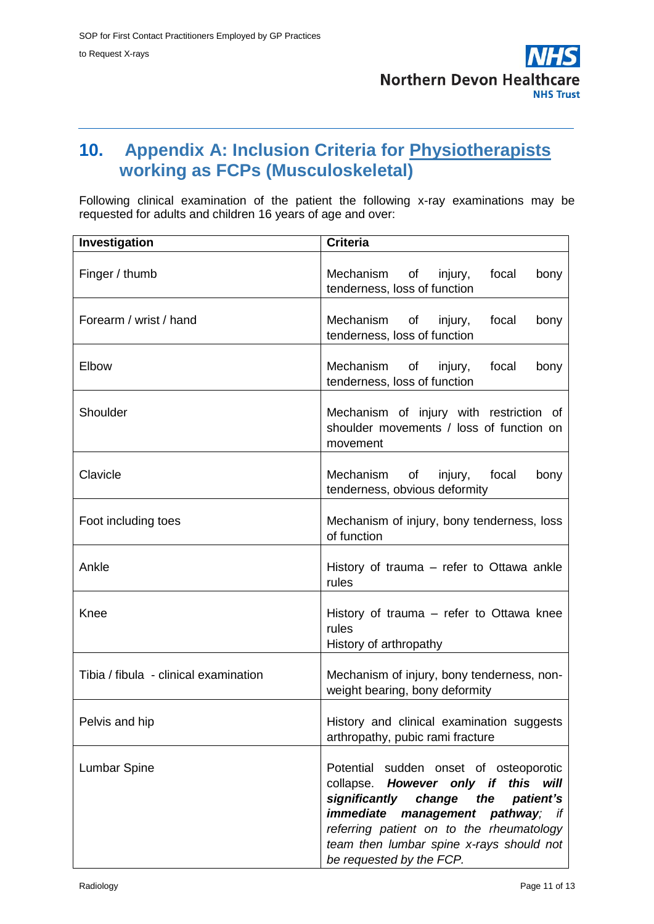

### **10. Appendix A: Inclusion Criteria for Physiotherapists working as FCPs (Musculoskeletal)**

Following clinical examination of the patient the following x-ray examinations may be requested for adults and children 16 years of age and over:

| Investigation                         | Criteria                                                                                                                                                                                                                                                                                            |
|---------------------------------------|-----------------------------------------------------------------------------------------------------------------------------------------------------------------------------------------------------------------------------------------------------------------------------------------------------|
| Finger / thumb                        | Mechanism of injury,<br>focal<br>bony<br>tenderness, loss of function                                                                                                                                                                                                                               |
| Forearm / wrist / hand                | Mechanism of injury,<br>focal<br>bony<br>tenderness, loss of function                                                                                                                                                                                                                               |
| Elbow                                 | Mechanism of injury,<br>focal<br>bony<br>tenderness, loss of function                                                                                                                                                                                                                               |
| Shoulder                              | Mechanism of injury with restriction of<br>shoulder movements / loss of function on<br>movement                                                                                                                                                                                                     |
| Clavicle                              | Mechanism<br>of<br>injury,<br>focal<br>bony<br>tenderness, obvious deformity                                                                                                                                                                                                                        |
| Foot including toes                   | Mechanism of injury, bony tenderness, loss<br>of function                                                                                                                                                                                                                                           |
| Ankle                                 | History of trauma – refer to Ottawa ankle<br>rules                                                                                                                                                                                                                                                  |
| Knee                                  | History of trauma – refer to Ottawa knee<br>rules<br>History of arthropathy                                                                                                                                                                                                                         |
| Tibia / fibula - clinical examination | Mechanism of injury, bony tenderness, non-<br>weight bearing, bony deformity                                                                                                                                                                                                                        |
| Pelvis and hip                        | History and clinical examination suggests<br>arthropathy, pubic rami fracture                                                                                                                                                                                                                       |
| <b>Lumbar Spine</b>                   | Potential sudden onset of osteoporotic<br>this<br>However only if<br>collapse.<br>will<br>significantly<br>change<br>the<br>patient's<br>immediate<br>management pathway;<br>if<br>referring patient on to the rheumatology<br>team then lumbar spine x-rays should not<br>be requested by the FCP. |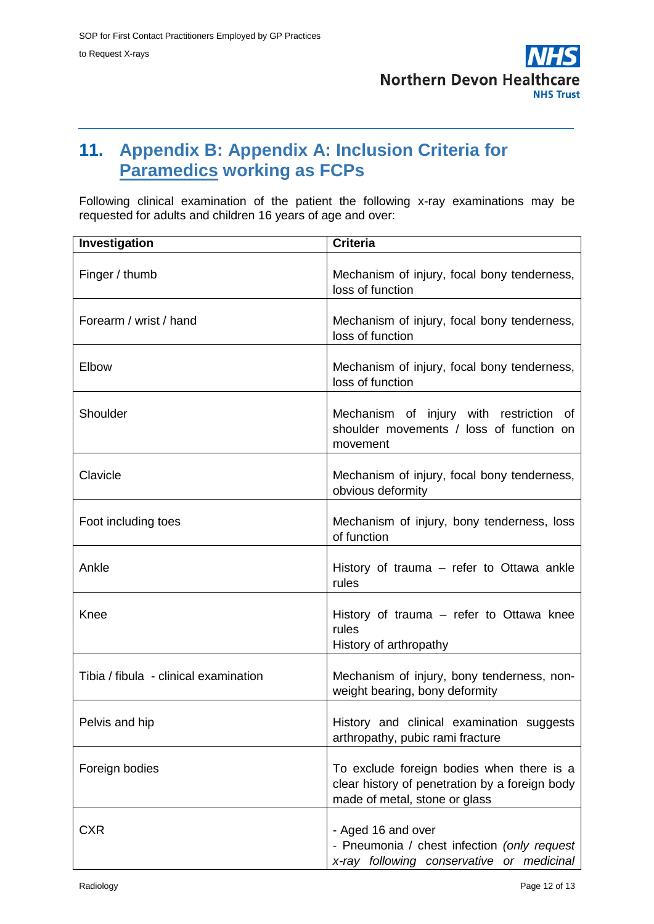

## **11. Appendix B: Appendix A: Inclusion Criteria for Paramedics working as FCPs**

Following clinical examination of the patient the following x-ray examinations may be requested for adults and children 16 years of age and over:

| Investigation                         | <b>Criteria</b>                                                                                                              |
|---------------------------------------|------------------------------------------------------------------------------------------------------------------------------|
| Finger / thumb                        | Mechanism of injury, focal bony tenderness,<br>loss of function                                                              |
| Forearm / wrist / hand                | Mechanism of injury, focal bony tenderness,<br>loss of function                                                              |
| Elbow                                 | Mechanism of injury, focal bony tenderness,<br>loss of function                                                              |
| Shoulder                              | Mechanism of injury with restriction of<br>shoulder movements / loss of function on<br>movement                              |
| Clavicle                              | Mechanism of injury, focal bony tenderness,<br>obvious deformity                                                             |
| Foot including toes                   | Mechanism of injury, bony tenderness, loss<br>of function                                                                    |
| Ankle                                 | History of trauma – refer to Ottawa ankle<br>rules                                                                           |
| Knee                                  | History of trauma – refer to Ottawa knee<br>rules<br>History of arthropathy                                                  |
| Tibia / fibula - clinical examination | Mechanism of injury, bony tenderness, non-<br>weight bearing, bony deformity                                                 |
| Pelvis and hip                        | History and clinical examination suggests<br>arthropathy, pubic rami fracture                                                |
| Foreign bodies                        | To exclude foreign bodies when there is a<br>clear history of penetration by a foreign body<br>made of metal, stone or glass |
| <b>CXR</b>                            | - Aged 16 and over<br>- Pneumonia / chest infection (only request<br>x-ray following conservative or medicinal               |